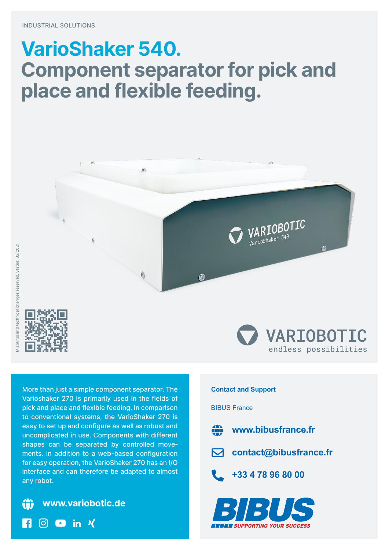## **VarioShaker 540. Component separator for pick and place and flexible feeding.**



More than just a simple component separator. The Varioshaker 270 is primarily used in the fields of pick and place and flexible feeding. In comparison to conventional systems, the VarioShaker 270 is easy to set up and configure as well as robust and uncomplicated in use. Components with different shapes can be separated by controlled move‐ ments. In addition to a web-based configuration for easy operation, the VarioShaker 270 has an I/O interface and can therefore be adapted to almost any robot.



 $\bullet$  in  $\prime$ 

 $\overline{S}$ 



## **Contact and Support**

## BIBUS France



**www.bibusfrance.fr**



**contact@bibusfrance.fr**

**+33 4 78 96 80 00**